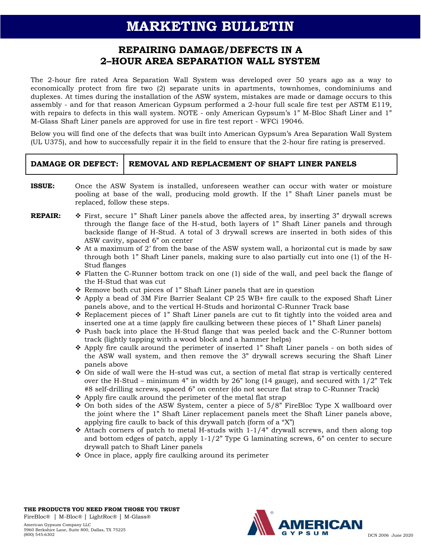## **MARKETING BULLETIN**

## **REPAIRING DAMAGE/DEFECTS IN A 2–HOUR AREA SEPARATION WALL SYSTEM**

The 2-hour fire rated Area Separation Wall System was developed over 50 years ago as a way to economically protect from fire two (2) separate units in apartments, townhomes, condominiums and duplexes. At times during the installation of the ASW system, mistakes are made or damage occurs to this assembly - and for that reason American Gypsum performed a 2-hour full scale fire test per ASTM E119, with repairs to defects in this wall system. NOTE - only American Gypsum's 1" M-Bloc Shaft Liner and 1" M-Glass Shaft Liner panels are approved for use in fire test report - WFCi 19046.

Below you will find one of the defects that was built into American Gypsum's Area Separation Wall System (UL U375), and how to successfully repair it in the field to ensure that the 2-hour fire rating is preserved.

| DAMAGE OR DEFECT:   REMOVAL AND REPLACEMENT OF SHAFT LINER PANELS |
|-------------------------------------------------------------------|
|                                                                   |

- **ISSUE:** Once the ASW System is installed, unforeseen weather can occur with water or moisture pooling at base of the wall, producing mold growth. If the 1" Shaft Liner panels must be replaced, follow these steps.
- **REPAIR:** ❖ First, secure 1<sup>"</sup> Shaft Liner panels above the affected area, by inserting 3" drywall screws through the flange face of the H-stud, both layers of 1" Shaft Liner panels and through backside flange of H-Stud. A total of 3 drywall screws are inserted in both sides of this ASW cavity, spaced 6" on center
	- $\clubsuit$  At a maximum of 2' from the base of the ASW system wall, a horizontal cut is made by saw through both 1" Shaft Liner panels, making sure to also partially cut into one (1) of the H-Stud flanges
	- ❖ Flatten the C-Runner bottom track on one (1) side of the wall, and peel back the flange of the H-Stud that was cut
	- ❖ Remove both cut pieces of 1" Shaft Liner panels that are in question
	- ❖ Apply a bead of 3M Fire Barrier Sealant CP 25 WB+ fire caulk to the exposed Shaft Liner panels above, and to the vertical H-Studs and horizontal C-Runner Track base
	- ❖ Replacement pieces of 1" Shaft Liner panels are cut to fit tightly into the voided area and inserted one at a time (apply fire caulking between these pieces of 1" Shaft Liner panels)
	- ❖ Push back into place the H-Stud flange that was peeled back and the C-Runner bottom track (lightly tapping with a wood block and a hammer helps)
	- ❖ Apply fire caulk around the perimeter of inserted 1" Shaft Liner panels on both sides of the ASW wall system, and then remove the 3" drywall screws securing the Shaft Liner panels above
	- ❖ On side of wall were the H-stud was cut, a section of metal flat strap is vertically centered over the H-Stud – minimum  $4$ " in width by 26" long (14 gauge), and secured with  $1/2$ " Tek #8 self-drilling screws, spaced 6" on center (do not secure flat strap to C-Runner Track)
	- ❖ Apply fire caulk around the perimeter of the metal flat strap
	- ❖ On both sides of the ASW System, center a piece of 5/8" FireBloc Type X wallboard over the joint where the 1" Shaft Liner replacement panels meet the Shaft Liner panels above, applying fire caulk to back of this drywall patch (form of a "X")
	- ❖ Attach corners of patch to metal H-studs with 1-1/4" drywall screws, and then along top and bottom edges of patch, apply  $1-1/2$ " Type G laminating screws,  $6$ " on center to secure drywall patch to Shaft Liner panels
	- ❖ Once in place, apply fire caulking around its perimeter